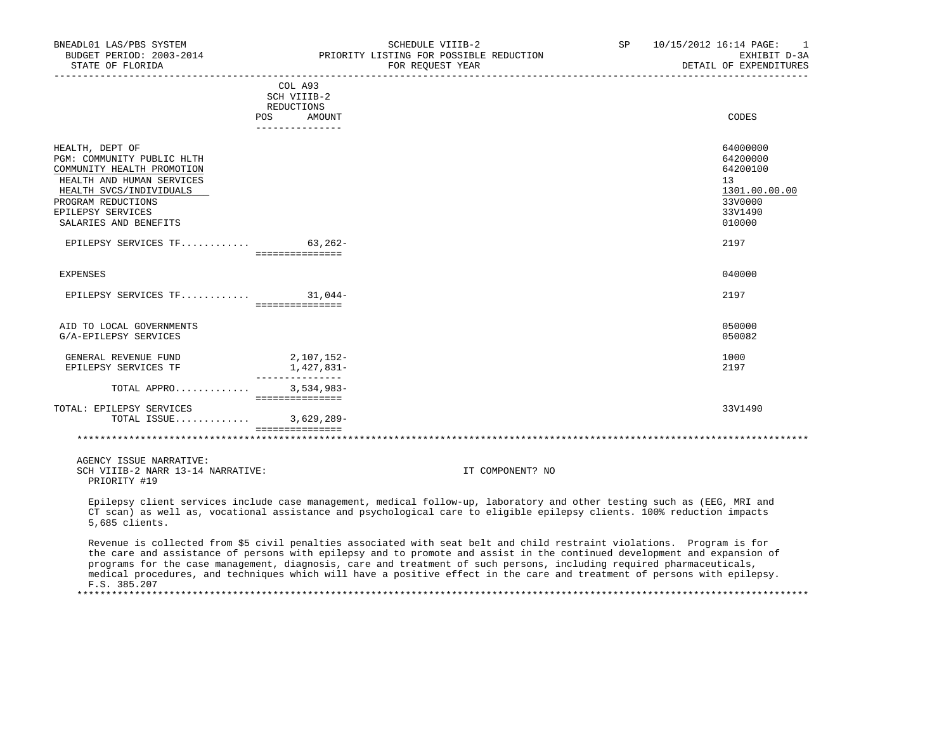| BNEADL01 LAS/PBS SYSTEM<br>STATE OF FLORIDA                                                                                                                                                             |                                              | SCHEDULE VIIIB-2<br>BUDGET PERIOD: 2003-2014 PRIORITY LISTING FOR POSSIBLE REDUCTION<br>FOR REOUEST YEAR                                                                                                                                          | SP | 10/15/2012 16:14 PAGE:<br>$\overline{1}$<br>EXHIBIT D-3A<br>DETAIL OF EXPENDITURES                   |
|---------------------------------------------------------------------------------------------------------------------------------------------------------------------------------------------------------|----------------------------------------------|---------------------------------------------------------------------------------------------------------------------------------------------------------------------------------------------------------------------------------------------------|----|------------------------------------------------------------------------------------------------------|
|                                                                                                                                                                                                         | COL A93<br>SCH VIIIB-2                       |                                                                                                                                                                                                                                                   |    |                                                                                                      |
|                                                                                                                                                                                                         | REDUCTIONS<br>POS AMOUNT                     |                                                                                                                                                                                                                                                   |    | CODES                                                                                                |
|                                                                                                                                                                                                         | _______________                              |                                                                                                                                                                                                                                                   |    |                                                                                                      |
| HEALTH, DEPT OF<br>PGM: COMMUNITY PUBLIC HLTH<br>COMMUNITY HEALTH PROMOTION<br>HEALTH AND HUMAN SERVICES<br>HEALTH SVCS/INDIVIDUALS<br>PROGRAM REDUCTIONS<br>EPILEPSY SERVICES<br>SALARIES AND BENEFITS |                                              |                                                                                                                                                                                                                                                   |    | 64000000<br>64200000<br>64200100<br>13 <sup>°</sup><br>1301.00.00.00<br>33V0000<br>33V1490<br>010000 |
| EPILEPSY SERVICES TF 63,262-                                                                                                                                                                            | ===============                              |                                                                                                                                                                                                                                                   |    | 2197                                                                                                 |
| <b>EXPENSES</b>                                                                                                                                                                                         |                                              |                                                                                                                                                                                                                                                   |    | 040000                                                                                               |
| EPILEPSY SERVICES TF 31,044-                                                                                                                                                                            | ================                             |                                                                                                                                                                                                                                                   |    | 2197                                                                                                 |
| AID TO LOCAL GOVERNMENTS<br>G/A-EPILEPSY SERVICES                                                                                                                                                       |                                              |                                                                                                                                                                                                                                                   |    | 050000<br>050082                                                                                     |
| GENERAL REVENUE FUND<br>EPILEPSY SERVICES TF                                                                                                                                                            | 2,107,152-<br>1,427,831-<br>________________ |                                                                                                                                                                                                                                                   |    | 1000<br>2197                                                                                         |
| TOTAL APPRO                                                                                                                                                                                             | $3,534,983-$                                 |                                                                                                                                                                                                                                                   |    |                                                                                                      |
| TOTAL: EPILEPSY SERVICES<br>TOTAL ISSUE                                                                                                                                                                 | ===============<br>$3,629,289-$              |                                                                                                                                                                                                                                                   |    | 33V1490                                                                                              |
|                                                                                                                                                                                                         | ===============                              |                                                                                                                                                                                                                                                   |    |                                                                                                      |
| AGENCY ISSUE NARRATIVE:<br>SCH VIIIB-2 NARR 13-14 NARRATIVE:<br>PRIORITY #19                                                                                                                            |                                              | IT COMPONENT? NO                                                                                                                                                                                                                                  |    |                                                                                                      |
| 5,685 clients.                                                                                                                                                                                          |                                              | Epilepsy client services include case management, medical follow-up, laboratory and other testing such as (EEG, MRI and<br>CT scan) as well as, vocational assistance and psychological care to eligible epilepsy clients. 100% reduction impacts |    |                                                                                                      |
|                                                                                                                                                                                                         |                                              | Revenue is collected from \$5 civil penalties associated with seat belt and child restraint violations. Program is for                                                                                                                            |    |                                                                                                      |

 the care and assistance of persons with epilepsy and to promote and assist in the continued development and expansion of programs for the case management, diagnosis, care and treatment of such persons, including required pharmaceuticals, medical procedures, and techniques which will have a positive effect in the care and treatment of persons with epilepsy. F.S. 385.207 \*\*\*\*\*\*\*\*\*\*\*\*\*\*\*\*\*\*\*\*\*\*\*\*\*\*\*\*\*\*\*\*\*\*\*\*\*\*\*\*\*\*\*\*\*\*\*\*\*\*\*\*\*\*\*\*\*\*\*\*\*\*\*\*\*\*\*\*\*\*\*\*\*\*\*\*\*\*\*\*\*\*\*\*\*\*\*\*\*\*\*\*\*\*\*\*\*\*\*\*\*\*\*\*\*\*\*\*\*\*\*\*\*\*\*\*\*\*\*\*\*\*\*\*\*\*\*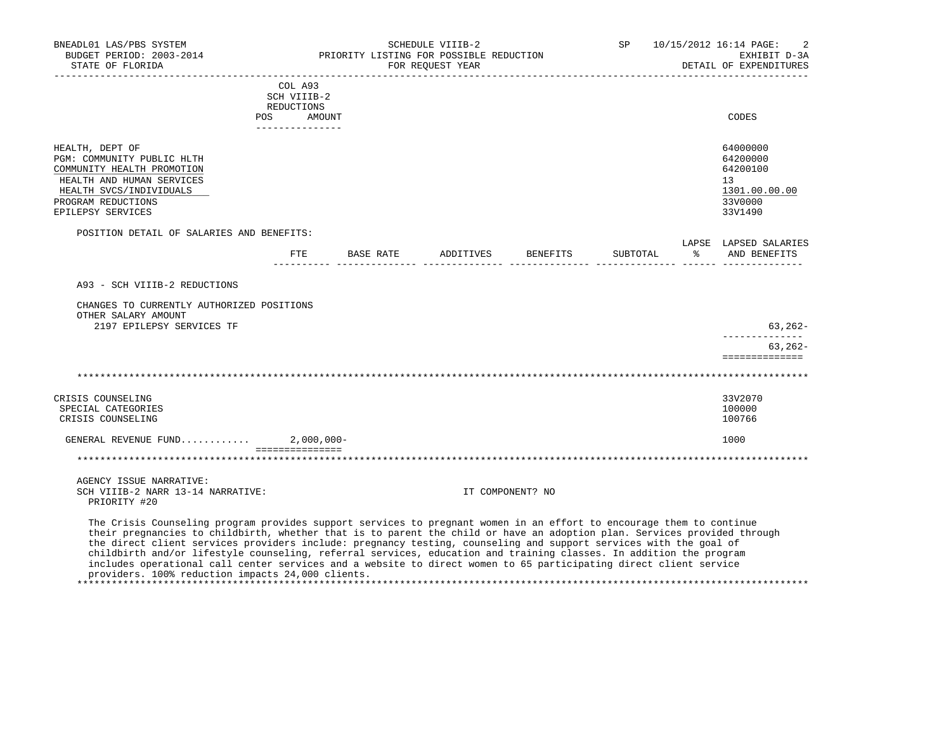| BNEADL01 LAS/PBS SYSTEM<br>BUDGET PERIOD: 2003-2014<br>STATE OF FLORIDA                                                                                                                                                                                                                                                                                                                                                                                                                                                                                                                                                                                               |                                                    | PRIORITY LISTING FOR POSSIBLE REDUCTION | SCHEDULE VIIIB-2<br>FOR REQUEST YEAR |                  | SP       | 10/15/2012 16:14 PAGE:<br>EXHIBIT D-3A<br>DETAIL OF EXPENDITURES              |
|-----------------------------------------------------------------------------------------------------------------------------------------------------------------------------------------------------------------------------------------------------------------------------------------------------------------------------------------------------------------------------------------------------------------------------------------------------------------------------------------------------------------------------------------------------------------------------------------------------------------------------------------------------------------------|----------------------------------------------------|-----------------------------------------|--------------------------------------|------------------|----------|-------------------------------------------------------------------------------|
|                                                                                                                                                                                                                                                                                                                                                                                                                                                                                                                                                                                                                                                                       | COL A93<br>SCH VIIIB-2<br>REDUCTIONS<br>POS AMOUNT |                                         |                                      |                  |          | CODES                                                                         |
|                                                                                                                                                                                                                                                                                                                                                                                                                                                                                                                                                                                                                                                                       | _______________                                    |                                         |                                      |                  |          |                                                                               |
| HEALTH, DEPT OF<br>PGM: COMMUNITY PUBLIC HLTH<br>COMMUNITY HEALTH PROMOTION<br>HEALTH AND HUMAN SERVICES<br>HEALTH SVCS/INDIVIDUALS<br>PROGRAM REDUCTIONS<br>EPILEPSY SERVICES                                                                                                                                                                                                                                                                                                                                                                                                                                                                                        |                                                    |                                         |                                      |                  |          | 64000000<br>64200000<br>64200100<br>13<br>1301.00.00.00<br>33V0000<br>33V1490 |
| POSITION DETAIL OF SALARIES AND BENEFITS:                                                                                                                                                                                                                                                                                                                                                                                                                                                                                                                                                                                                                             |                                                    |                                         |                                      |                  |          | LAPSE LAPSED SALARIES                                                         |
|                                                                                                                                                                                                                                                                                                                                                                                                                                                                                                                                                                                                                                                                       | ETE                                                |                                         | BASE RATE ADDITIVES                  | BENEFITS         | SUBTOTAL | % AND BENEFITS                                                                |
| A93 - SCH VIIIB-2 REDUCTIONS<br>CHANGES TO CURRENTLY AUTHORIZED POSITIONS<br>OTHER SALARY AMOUNT<br>2197 EPILEPSY SERVICES TF                                                                                                                                                                                                                                                                                                                                                                                                                                                                                                                                         |                                                    |                                         |                                      |                  |          | $63, 262 -$                                                                   |
|                                                                                                                                                                                                                                                                                                                                                                                                                                                                                                                                                                                                                                                                       |                                                    |                                         |                                      |                  |          | $63, 262 -$<br>==============                                                 |
|                                                                                                                                                                                                                                                                                                                                                                                                                                                                                                                                                                                                                                                                       |                                                    |                                         |                                      |                  |          |                                                                               |
| CRISIS COUNSELING<br>SPECIAL CATEGORIES<br>CRISIS COUNSELING                                                                                                                                                                                                                                                                                                                                                                                                                                                                                                                                                                                                          |                                                    |                                         |                                      |                  |          | 33V2070<br>100000<br>100766                                                   |
| GENERAL REVENUE FUND                                                                                                                                                                                                                                                                                                                                                                                                                                                                                                                                                                                                                                                  |                                                    | $2,000,000-$                            |                                      |                  |          | 1000                                                                          |
|                                                                                                                                                                                                                                                                                                                                                                                                                                                                                                                                                                                                                                                                       | ===============                                    |                                         |                                      |                  |          |                                                                               |
| AGENCY ISSUE NARRATIVE:<br>SCH VIIIB-2 NARR 13-14 NARRATIVE:<br>PRIORITY #20                                                                                                                                                                                                                                                                                                                                                                                                                                                                                                                                                                                          |                                                    |                                         |                                      | IT COMPONENT? NO |          |                                                                               |
| The Crisis Counseling program provides support services to pregnant women in an effort to encourage them to continue<br>their pregnancies to childbirth, whether that is to parent the child or have an adoption plan. Services provided through<br>the direct client services providers include: pregnancy testing, counseling and support services with the goal of<br>childbirth and/or lifestyle counseling, referral services, education and training classes. In addition the program<br>includes operational call center services and a website to direct women to 65 participating direct client service<br>providers. 100% reduction impacts 24,000 clients. |                                                    |                                         |                                      |                  |          |                                                                               |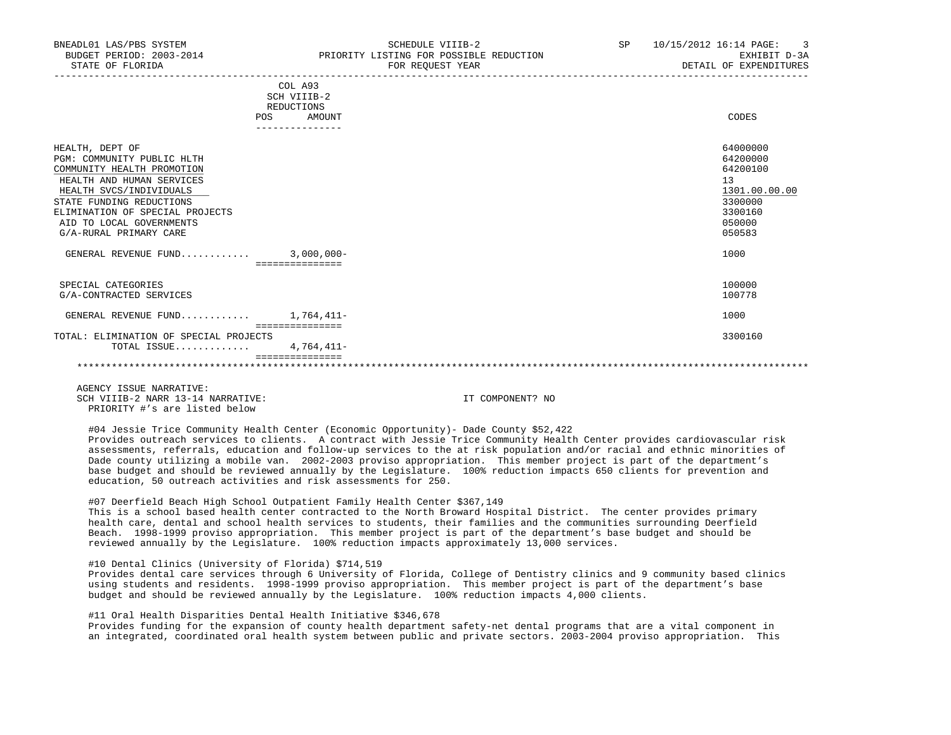| BNEADL01 LAS/PBS SYSTEM<br>BUDGET PERIOD: 2003-2014<br>STATE OF FLORIDA                                                                                                                                                                                  | SCHEDULE VIIIB-2<br>PRIORITY LISTING FOR POSSIBLE REDUCTION<br>FOR REOUEST YEAR | SP | 10/15/2012 16:14 PAGE: 3<br>EXHIBIT D-3A<br>DETAIL OF EXPENDITURES                                |
|----------------------------------------------------------------------------------------------------------------------------------------------------------------------------------------------------------------------------------------------------------|---------------------------------------------------------------------------------|----|---------------------------------------------------------------------------------------------------|
|                                                                                                                                                                                                                                                          | COL A93<br>SCH VIIIB-2<br>REDUCTIONS<br>POS<br>AMOUNT                           |    | CODES                                                                                             |
| HEALTH, DEPT OF<br>PGM: COMMUNITY PUBLIC HLTH<br>COMMUNITY HEALTH PROMOTION<br>HEALTH AND HUMAN SERVICES<br>HEALTH SVCS/INDIVIDUALS<br>STATE FUNDING REDUCTIONS<br>ELIMINATION OF SPECIAL PROJECTS<br>AID TO LOCAL GOVERNMENTS<br>G/A-RURAL PRIMARY CARE |                                                                                 |    | 64000000<br>64200000<br>64200100<br>13<br>1301.00.00.00<br>3300000<br>3300160<br>050000<br>050583 |
| GENERAL REVENUE FUND $3,000,000-$                                                                                                                                                                                                                        | ===============                                                                 |    | 1000                                                                                              |
| SPECIAL CATEGORIES<br>G/A-CONTRACTED SERVICES                                                                                                                                                                                                            |                                                                                 |    | 100000<br>100778                                                                                  |
| GENERAL REVENUE FUND $1.764.411$ -                                                                                                                                                                                                                       |                                                                                 |    | 1000                                                                                              |
| TOTAL: ELIMINATION OF SPECIAL PROJECTS<br>TOTAL ISSUE                                                                                                                                                                                                    | ===============<br>$4.764.411-$<br>================                             |    | 3300160                                                                                           |

\*\*\*\*\*\*\*\*\*\*\*\*\*\*\*\*\*\*\*\*\*\*\*\*\*\*\*\*\*\*\*\*\*\*\*\*\*\*\*\*\*\*\*\*\*\*\*\*\*\*\*\*\*\*\*\*\*\*\*\*\*\*\*\*\*\*\*\*\*\*\*\*\*\*\*\*\*\*\*\*\*\*\*\*\*\*\*\*\*\*\*\*\*\*\*\*\*\*\*\*\*\*\*\*\*\*\*\*\*\*\*\*\*\*\*\*\*\*\*\*\*\*\*\*\*\*\*

 AGENCY ISSUE NARRATIVE: SCH VIIIB-2 NARR 13-14 NARRATIVE: IT COMPONENT? NO PRIORITY #'s are listed below

 #04 Jessie Trice Community Health Center (Economic Opportunity)- Dade County \$52,422 Provides outreach services to clients. A contract with Jessie Trice Community Health Center provides cardiovascular risk assessments, referrals, education and follow-up services to the at risk population and/or racial and ethnic minorities of Dade county utilizing a mobile van. 2002-2003 proviso appropriation. This member project is part of the department's base budget and should be reviewed annually by the Legislature. 100% reduction impacts 650 clients for prevention and education, 50 outreach activities and risk assessments for 250.

## #07 Deerfield Beach High School Outpatient Family Health Center \$367,149

 This is a school based health center contracted to the North Broward Hospital District. The center provides primary health care, dental and school health services to students, their families and the communities surrounding Deerfield Beach. 1998-1999 proviso appropriation. This member project is part of the department's base budget and should be reviewed annually by the Legislature. 100% reduction impacts approximately 13,000 services.

## #10 Dental Clinics (University of Florida) \$714,519

 Provides dental care services through 6 University of Florida, College of Dentistry clinics and 9 community based clinics using students and residents. 1998-1999 proviso appropriation. This member project is part of the department's base budget and should be reviewed annually by the Legislature. 100% reduction impacts 4,000 clients.

## #11 Oral Health Disparities Dental Health Initiative \$346,678

 Provides funding for the expansion of county health department safety-net dental programs that are a vital component in an integrated, coordinated oral health system between public and private sectors. 2003-2004 proviso appropriation. This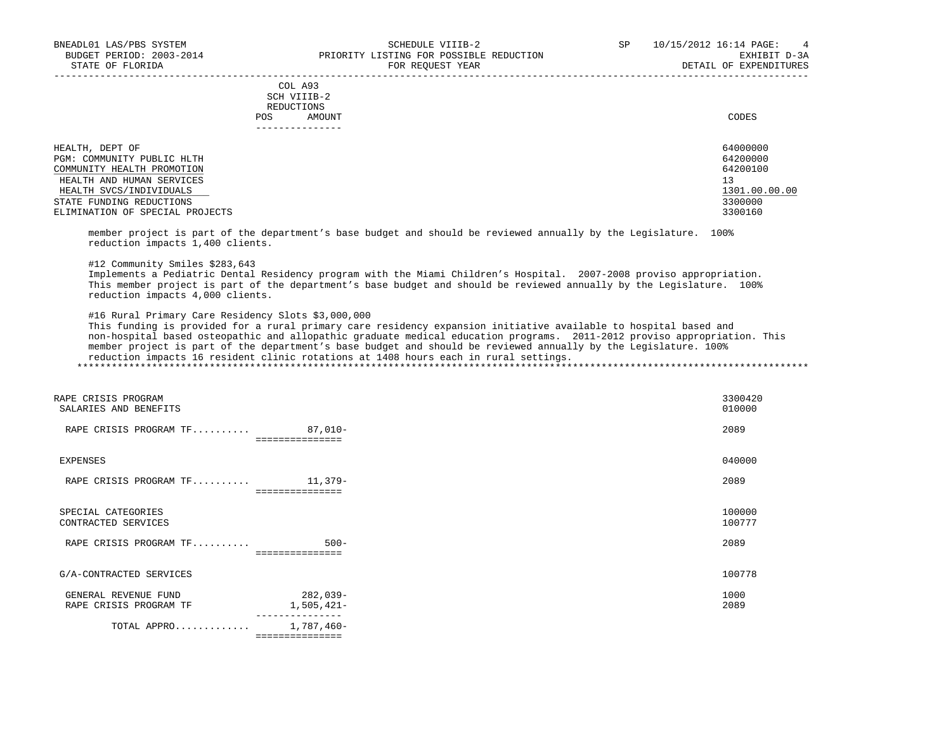| STATE OF FLORIDA                |            |                                                | FOR REOUEST YEAR | DETAIL OF EXPENDITURES |
|---------------------------------|------------|------------------------------------------------|------------------|------------------------|
|                                 | <b>POS</b> | COL A93<br>SCH VIIIB-2<br>REDUCTIONS<br>AMOUNT |                  | CODES                  |
|                                 |            | -------------                                  |                  |                        |
| HEALTH, DEPT OF                 |            |                                                |                  | 64000000               |
| PGM: COMMUNITY PUBLIC HLTH      |            |                                                |                  | 64200000               |
| COMMUNITY HEALTH PROMOTION      |            |                                                |                  | 64200100               |
| HEALTH AND HUMAN SERVICES       |            |                                                |                  | 13                     |
| HEALTH SVCS/INDIVIDUALS         |            |                                                |                  | 1301.00.00.00          |
| STATE FUNDING REDUCTIONS        |            |                                                |                  | 3300000                |
| ELIMINATION OF SPECIAL PROJECTS |            |                                                |                  | 3300160                |

 member project is part of the department's base budget and should be reviewed annually by the Legislature. 100% reduction impacts 1,400 clients.

#12 Community Smiles \$283,643

 Implements a Pediatric Dental Residency program with the Miami Children's Hospital. 2007-2008 proviso appropriation. This member project is part of the department's base budget and should be reviewed annually by the Legislature. 100% reduction impacts 4,000 clients.

#16 Rural Primary Care Residency Slots \$3,000,000

 This funding is provided for a rural primary care residency expansion initiative available to hospital based and non-hospital based osteopathic and allopathic graduate medical education programs. 2011-2012 proviso appropriation. This member project is part of the department's base budget and should be reviewed annually by the Legislature. 100% reduction impacts 16 resident clinic rotations at 1408 hours each in rural settings.

| RAPE CRISIS PROGRAM<br>SALARIES AND BENEFITS   |                               | 3300420<br>010000 |
|------------------------------------------------|-------------------------------|-------------------|
| RAPE CRISIS PROGRAM TF                         | $87,010-$<br>===============  | 2089              |
| EXPENSES                                       |                               | 040000            |
| RAPE CRISIS PROGRAM $TF$ 11,379-               |                               | 2089              |
| SPECIAL CATEGORIES<br>CONTRACTED SERVICES      |                               | 100000<br>100777  |
| RAPE CRISIS PROGRAM TF                         | $500 -$<br>===============    | 2089              |
| G/A-CONTRACTED SERVICES                        |                               | 100778            |
| GENERAL REVENUE FUND<br>RAPE CRISIS PROGRAM TF | 282,039-<br>1,505,421-        | 1000<br>2089      |
| TOTAL APPRO                                    | 1,787,460-<br>=============== |                   |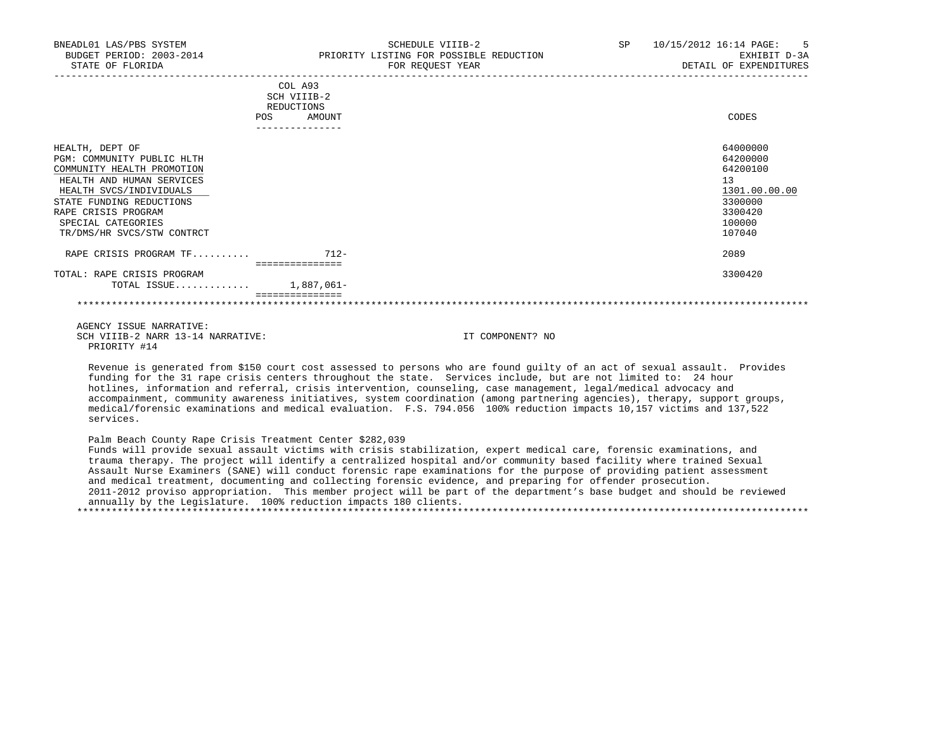| BNEADL01 LAS/PBS SYSTEM<br>BUDGET PERIOD: 2003-2014<br>STATE OF FLORIDA | PRIORITY LISTING FOR POSSIBLE REDUCTION           | SCHEDULE VIIIB-2<br>FOR REQUEST YEAR | SP and the set of the set of the set of the set of the set of the set of the set of the set of the set of the set of the set of the set of the set of the set of the set of the set of the set of the set of the set of the se | 10/15/2012 16:14 PAGE: 5<br>EXHIBIT D-3A<br>DETAIL OF EXPENDITURES |
|-------------------------------------------------------------------------|---------------------------------------------------|--------------------------------------|--------------------------------------------------------------------------------------------------------------------------------------------------------------------------------------------------------------------------------|--------------------------------------------------------------------|
|                                                                         | _______________________<br>COL A93<br>SCH VIIIB-2 |                                      |                                                                                                                                                                                                                                |                                                                    |
| POS                                                                     | REDUCTIONS<br>AMOUNT                              |                                      |                                                                                                                                                                                                                                | CODES                                                              |
| HEALTH, DEPT OF                                                         |                                                   |                                      |                                                                                                                                                                                                                                | 64000000                                                           |
| PGM: COMMUNITY PUBLIC HLTH                                              |                                                   |                                      |                                                                                                                                                                                                                                | 64200000                                                           |
| COMMUNITY HEALTH PROMOTION<br>HEALTH AND HUMAN SERVICES                 |                                                   |                                      |                                                                                                                                                                                                                                | 64200100<br>13                                                     |
| HEALTH SVCS/INDIVIDUALS                                                 |                                                   |                                      |                                                                                                                                                                                                                                | 1301.00.00.00                                                      |
| STATE FUNDING REDUCTIONS                                                |                                                   |                                      |                                                                                                                                                                                                                                | 3300000                                                            |
| RAPE CRISIS PROGRAM                                                     |                                                   |                                      |                                                                                                                                                                                                                                | 3300420                                                            |
| SPECIAL CATEGORIES                                                      |                                                   |                                      |                                                                                                                                                                                                                                | 100000                                                             |
| TR/DMS/HR SVCS/STW CONTRCT                                              |                                                   |                                      |                                                                                                                                                                                                                                | 107040                                                             |
| RAPE CRISIS PROGRAM TF                                                  | $712-$                                            |                                      |                                                                                                                                                                                                                                | 2089                                                               |
| TOTAL: RAPE CRISIS PROGRAM                                              | eccessessesses                                    |                                      |                                                                                                                                                                                                                                | 3300420                                                            |
| TOTAL ISSUE 1,887,061-                                                  |                                                   |                                      |                                                                                                                                                                                                                                |                                                                    |
|                                                                         |                                                   |                                      |                                                                                                                                                                                                                                |                                                                    |
| AGENCY ISSUE NARRATIVE:                                                 |                                                   |                                      |                                                                                                                                                                                                                                |                                                                    |
| SCH VIIIB-2 NARR 13-14 NARRATIVE:                                       |                                                   | IT COMPONENT? NO                     |                                                                                                                                                                                                                                |                                                                    |

 Revenue is generated from \$150 court cost assessed to persons who are found guilty of an act of sexual assault. Provides funding for the 31 rape crisis centers throughout the state. Services include, but are not limited to: 24 hour hotlines, information and referral, crisis intervention, counseling, case management, legal/medical advocacy and accompainment, community awareness initiatives, system coordination (among partnering agencies), therapy, support groups, medical/forensic examinations and medical evaluation. F.S. 794.056 100% reduction impacts 10,157 victims and 137,522 services.

PRIORITY #14

 Palm Beach County Rape Crisis Treatment Center \$282,039 Funds will provide sexual assault victims with crisis stabilization, expert medical care, forensic examinations, and trauma therapy. The project will identify a centralized hospital and/or community based facility where trained Sexual Assault Nurse Examiners (SANE) will conduct forensic rape examinations for the purpose of providing patient assessment and medical treatment, documenting and collecting forensic evidence, and preparing for offender prosecution. 2011-2012 proviso appropriation. This member project will be part of the department's base budget and should be reviewed annually by the Legislature. 100% reduction impacts 180 clients. \*\*\*\*\*\*\*\*\*\*\*\*\*\*\*\*\*\*\*\*\*\*\*\*\*\*\*\*\*\*\*\*\*\*\*\*\*\*\*\*\*\*\*\*\*\*\*\*\*\*\*\*\*\*\*\*\*\*\*\*\*\*\*\*\*\*\*\*\*\*\*\*\*\*\*\*\*\*\*\*\*\*\*\*\*\*\*\*\*\*\*\*\*\*\*\*\*\*\*\*\*\*\*\*\*\*\*\*\*\*\*\*\*\*\*\*\*\*\*\*\*\*\*\*\*\*\*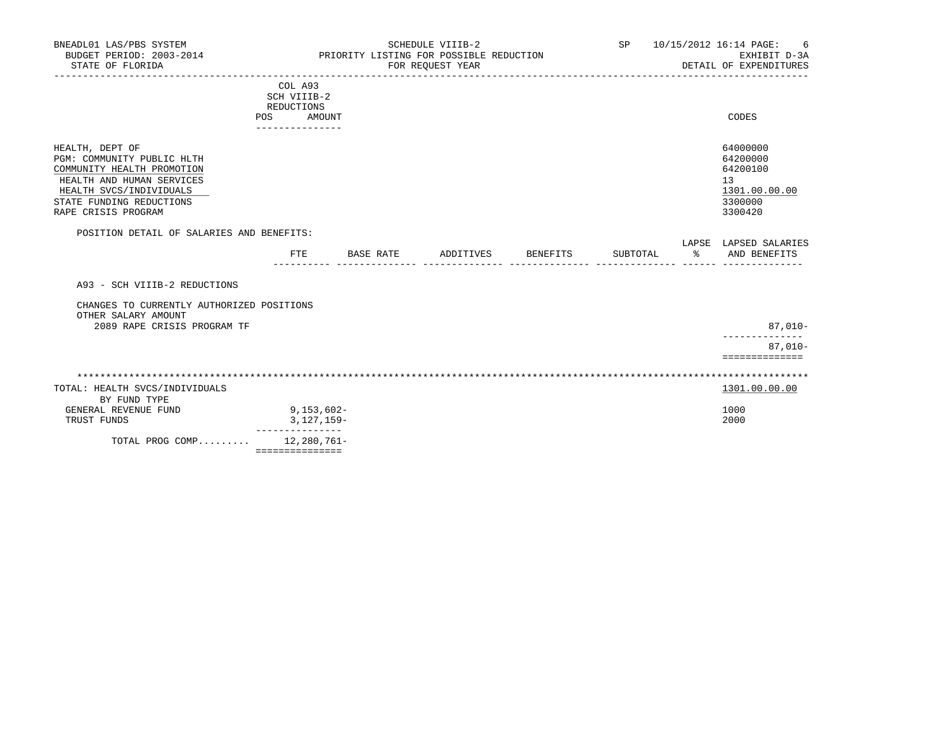| BNEADL01 LAS/PBS SYSTEM<br>BUDGET PERIOD: 2003-2014<br>STATE OF FLORIDA                                                                                                                |                                                                          |           | SCHEDULE VIIIB-2<br>PRIORITY LISTING FOR POSSIBLE REDUCTION<br>FOR REQUEST YEAR |          | SP       | 10/15/2012 16:14 PAGE:<br>6<br>EXHIBIT D-3A<br>DETAIL OF EXPENDITURES         |
|----------------------------------------------------------------------------------------------------------------------------------------------------------------------------------------|--------------------------------------------------------------------------|-----------|---------------------------------------------------------------------------------|----------|----------|-------------------------------------------------------------------------------|
|                                                                                                                                                                                        | COL A93<br>SCH VIIIB-2<br>REDUCTIONS<br>POS<br>AMOUNT<br>--------------- |           |                                                                                 |          |          | CODES                                                                         |
| HEALTH, DEPT OF<br>PGM: COMMUNITY PUBLIC HLTH<br>COMMUNITY HEALTH PROMOTION<br>HEALTH AND HUMAN SERVICES<br>HEALTH SVCS/INDIVIDUALS<br>STATE FUNDING REDUCTIONS<br>RAPE CRISIS PROGRAM |                                                                          |           |                                                                                 |          |          | 64000000<br>64200000<br>64200100<br>13<br>1301.00.00.00<br>3300000<br>3300420 |
| POSITION DETAIL OF SALARIES AND BENEFITS:                                                                                                                                              |                                                                          |           |                                                                                 |          |          |                                                                               |
|                                                                                                                                                                                        | FTE.                                                                     | BASE RATE | ADDITIVES                                                                       | BENEFITS | SUBTOTAL | LAPSE LAPSED SALARIES<br>% AND BENEFITS                                       |
| A93 - SCH VIIIB-2 REDUCTIONS                                                                                                                                                           |                                                                          |           |                                                                                 |          |          |                                                                               |
| CHANGES TO CURRENTLY AUTHORIZED POSITIONS<br>OTHER SALARY AMOUNT                                                                                                                       |                                                                          |           |                                                                                 |          |          |                                                                               |
| 2089 RAPE CRISIS PROGRAM TF                                                                                                                                                            |                                                                          |           |                                                                                 |          |          | $87,010-$                                                                     |
|                                                                                                                                                                                        |                                                                          |           |                                                                                 |          |          | $87.010 -$                                                                    |
|                                                                                                                                                                                        |                                                                          |           |                                                                                 |          |          | ==============                                                                |
| TOTAL: HEALTH SVCS/INDIVIDUALS<br>BY FUND TYPE                                                                                                                                         |                                                                          |           |                                                                                 |          |          | 1301.00.00.00                                                                 |
| GENERAL REVENUE FUND<br>TRUST FUNDS                                                                                                                                                    | $9,153,602-$<br>$3,127,159-$                                             |           |                                                                                 |          |          | 1000<br>2000                                                                  |
| TOTAL PROG COMP 12,280,761-                                                                                                                                                            | ---------------<br>===============                                       |           |                                                                                 |          |          |                                                                               |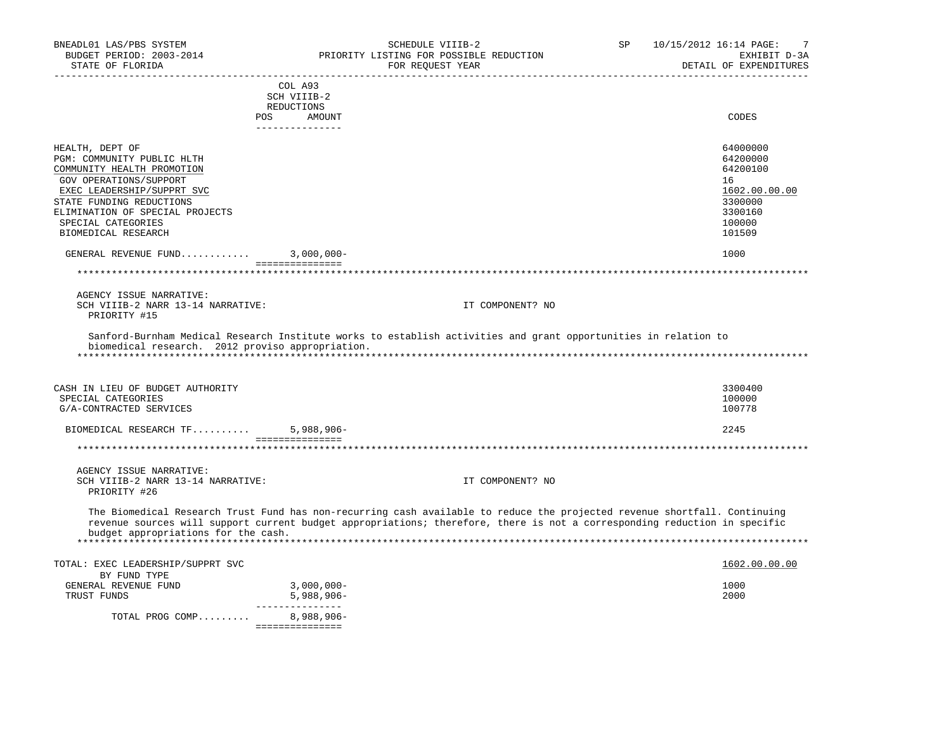| BNEADL01 LAS/PBS SYSTEM<br>BUDGET PERIOD: 2003-2014<br>STATE OF FLORIDA                                                                                                                                                                         | SCHEDULE VIIIB-2<br>PRIORITY LISTING FOR POSSIBLE REDUCTION<br>FOR REQUEST YEAR                                                                                                                                                                        | <b>SP</b> | 10/15/2012 16:14 PAGE:<br>7<br>EXHIBIT D-3A<br>DETAIL OF EXPENDITURES                             |
|-------------------------------------------------------------------------------------------------------------------------------------------------------------------------------------------------------------------------------------------------|--------------------------------------------------------------------------------------------------------------------------------------------------------------------------------------------------------------------------------------------------------|-----------|---------------------------------------------------------------------------------------------------|
|                                                                                                                                                                                                                                                 | COL A93<br>SCH VIIIB-2<br>REDUCTIONS                                                                                                                                                                                                                   |           |                                                                                                   |
| POS                                                                                                                                                                                                                                             | AMOUNT<br>---------------                                                                                                                                                                                                                              |           | CODES                                                                                             |
| HEALTH, DEPT OF<br>PGM: COMMUNITY PUBLIC HLTH<br>COMMUNITY HEALTH PROMOTION<br>GOV OPERATIONS/SUPPORT<br>EXEC LEADERSHIP/SUPPRT SVC<br>STATE FUNDING REDUCTIONS<br>ELIMINATION OF SPECIAL PROJECTS<br>SPECIAL CATEGORIES<br>BIOMEDICAL RESEARCH |                                                                                                                                                                                                                                                        |           | 64000000<br>64200000<br>64200100<br>16<br>1602.00.00.00<br>3300000<br>3300160<br>100000<br>101509 |
| GENERAL REVENUE FUND $3,000,000-$                                                                                                                                                                                                               |                                                                                                                                                                                                                                                        |           | 1000                                                                                              |
|                                                                                                                                                                                                                                                 | ===============                                                                                                                                                                                                                                        |           |                                                                                                   |
| AGENCY ISSUE NARRATIVE:<br>SCH VIIIB-2 NARR 13-14 NARRATIVE:<br>PRIORITY #15                                                                                                                                                                    | IT COMPONENT? NO                                                                                                                                                                                                                                       |           |                                                                                                   |
| biomedical research. 2012 proviso appropriation.                                                                                                                                                                                                | Sanford-Burnham Medical Research Institute works to establish activities and grant opportunities in relation to                                                                                                                                        |           |                                                                                                   |
| CASH IN LIEU OF BUDGET AUTHORITY<br>SPECIAL CATEGORIES<br>G/A-CONTRACTED SERVICES                                                                                                                                                               |                                                                                                                                                                                                                                                        |           | 3300400<br>100000<br>100778                                                                       |
| BIOMEDICAL RESEARCH TF                                                                                                                                                                                                                          | $5,988,906 -$<br>===============                                                                                                                                                                                                                       |           | 2245                                                                                              |
| ***********************************                                                                                                                                                                                                             |                                                                                                                                                                                                                                                        |           |                                                                                                   |
| AGENCY ISSUE NARRATIVE:<br>SCH VIIIB-2 NARR 13-14 NARRATIVE:<br>PRIORITY #26                                                                                                                                                                    | IT COMPONENT? NO                                                                                                                                                                                                                                       |           |                                                                                                   |
| budget appropriations for the cash.                                                                                                                                                                                                             | The Biomedical Research Trust Fund has non-recurring cash available to reduce the projected revenue shortfall. Continuing<br>revenue sources will support current budget appropriations; therefore, there is not a corresponding reduction in specific |           |                                                                                                   |
| TOTAL: EXEC LEADERSHIP/SUPPRT SVC                                                                                                                                                                                                               |                                                                                                                                                                                                                                                        |           | 1602.00.00.00                                                                                     |
| BY FUND TYPE<br>GENERAL REVENUE FUND<br>TRUST FUNDS                                                                                                                                                                                             | $3,000,000 -$<br>$5,988,906 -$<br>_______________                                                                                                                                                                                                      |           | 1000<br>2000                                                                                      |
| TOTAL PROG COMP                                                                                                                                                                                                                                 | 8,988,906-<br>===============                                                                                                                                                                                                                          |           |                                                                                                   |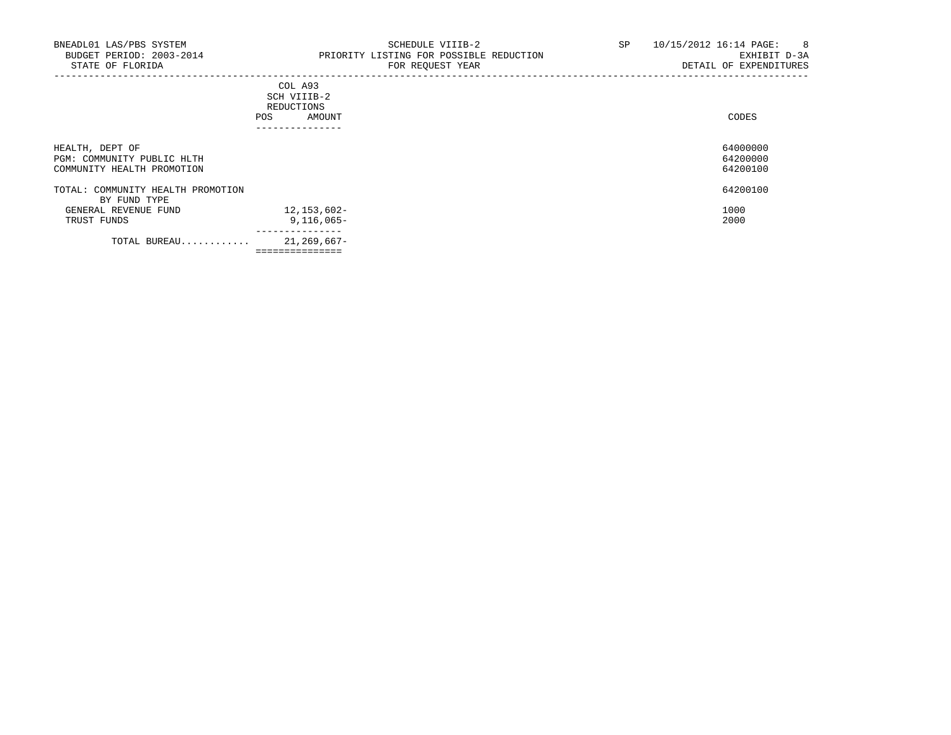|                                                   | COL A93<br>SCH VIIIB-2<br>REDUCTIONS<br>AMOUNT<br>POS.<br>____________ |  |
|---------------------------------------------------|------------------------------------------------------------------------|--|
| HEALTH, DEPT OF<br>PGM: COMMUNITY PUBLIC HLTH     |                                                                        |  |
| COMMUNITY HEALTH PROMOTION                        |                                                                        |  |
| TOTAL: COMMUNITY HEALTH PROMOTION<br>BY FUND TYPE |                                                                        |  |
| GENERAL REVENUE FUND                              | 12,153,602-                                                            |  |
| TRUST FUNDS                                       | $9,116,065 -$                                                          |  |
| TOTAL BUREAU                                      | 21,269,667-<br>===============                                         |  |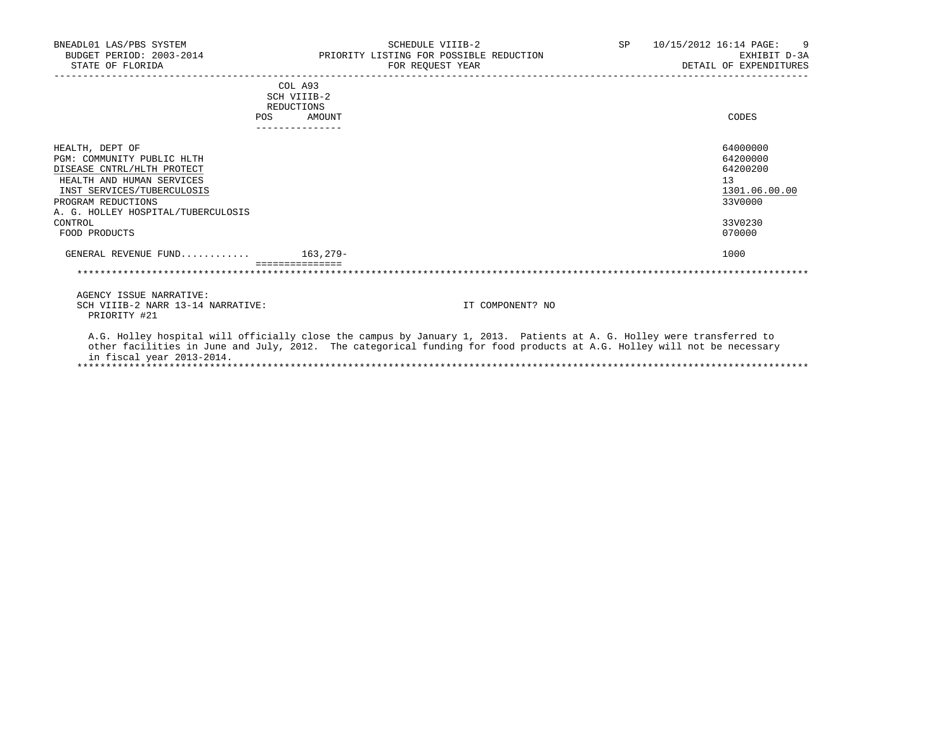| BNEADL01 LAS/PBS SYSTEM<br>BUDGET PERIOD: 2003-2014 PRIORITY LISTING FOR POSSIBLE REDUCTION<br>STATE OF FLORIDA                                                                                                                |     |                                                | SCHEDULE VIIIB-2<br>FOR REOUEST YEAR |                  | SP | 10/15/2012 16:14 PAGE:<br>$\overline{9}$<br>EXHIBIT D-3A<br>DETAIL OF EXPENDITURES      |
|--------------------------------------------------------------------------------------------------------------------------------------------------------------------------------------------------------------------------------|-----|------------------------------------------------|--------------------------------------|------------------|----|-----------------------------------------------------------------------------------------|
|                                                                                                                                                                                                                                | POS | COL A93<br>SCH VIIIB-2<br>REDUCTIONS<br>AMOUNT |                                      |                  |    | CODES                                                                                   |
| HEALTH, DEPT OF<br>PGM: COMMUNITY PUBLIC HLTH<br>DISEASE CNTRL/HLTH PROTECT<br>HEALTH AND HUMAN SERVICES<br>INST SERVICES/TUBERCULOSIS<br>PROGRAM REDUCTIONS<br>A. G. HOLLEY HOSPITAL/TUBERCULOSIS<br>CONTROL<br>FOOD PRODUCTS |     |                                                |                                      |                  |    | 64000000<br>64200000<br>64200200<br>13<br>1301.06.00.00<br>33V0000<br>33V0230<br>070000 |
| GENERAL REVENUE FUND $163,279-$                                                                                                                                                                                                |     |                                                |                                      |                  |    | 1000                                                                                    |
|                                                                                                                                                                                                                                |     |                                                |                                      |                  |    |                                                                                         |
| AGENCY ISSUE NARRATIVE:<br>SCH VIIIB-2 NARR 13-14 NARRATIVE:<br>PRIORITY #21<br>A.G. Holley hospital will officially close the campus by January 1, 2013. Patients at A. G. Holley were transferred to                         |     |                                                |                                      | IT COMPONENT? NO |    |                                                                                         |
| other facilities in June and July, 2012. The categorical funding for food products at A.G. Holley will not be necessary                                                                                                        |     |                                                |                                      |                  |    |                                                                                         |

 other facilities in June and July, 2012. The categorical funding for food products at A.G. Holley will not be necessary in fiscal year 2013-2014. \*\*\*\*\*\*\*\*\*\*\*\*\*\*\*\*\*\*\*\*\*\*\*\*\*\*\*\*\*\*\*\*\*\*\*\*\*\*\*\*\*\*\*\*\*\*\*\*\*\*\*\*\*\*\*\*\*\*\*\*\*\*\*\*\*\*\*\*\*\*\*\*\*\*\*\*\*\*\*\*\*\*\*\*\*\*\*\*\*\*\*\*\*\*\*\*\*\*\*\*\*\*\*\*\*\*\*\*\*\*\*\*\*\*\*\*\*\*\*\*\*\*\*\*\*\*\*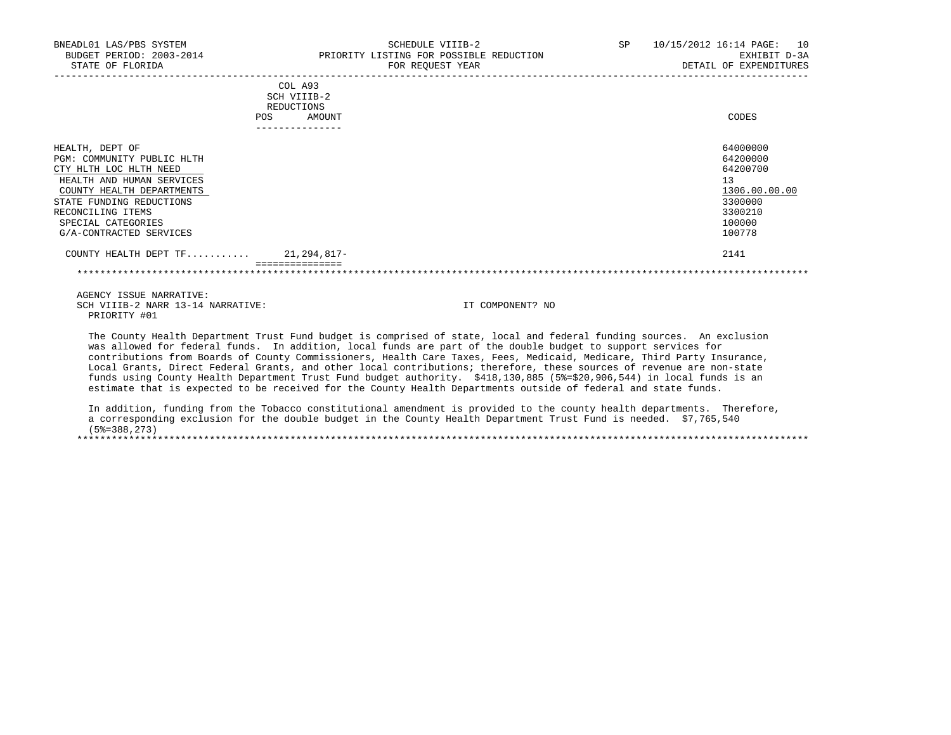| BNEADL01 LAS/PBS SYSTEM<br>BUDGET PERIOD: 2003-2014<br>STATE OF FLORIDA                                                                                                                                                             |                                             |        | SCHEDULE VIIIB-2<br>PRIORITY LISTING FOR POSSIBLE REDUCTION<br>FOR REQUEST YEAR | SP | 10/15/2012 16:14 PAGE: 10<br>EXHIBIT D-3A<br>DETAIL OF EXPENDITURES                               |
|-------------------------------------------------------------------------------------------------------------------------------------------------------------------------------------------------------------------------------------|---------------------------------------------|--------|---------------------------------------------------------------------------------|----|---------------------------------------------------------------------------------------------------|
|                                                                                                                                                                                                                                     | COL A93<br>SCH VIIIB-2<br>REDUCTIONS<br>POS | AMOUNT |                                                                                 |    | CODES                                                                                             |
| HEALTH, DEPT OF<br>PGM: COMMUNITY PUBLIC HLTH<br>CTY HLTH LOC HLTH NEED<br>HEALTH AND HUMAN SERVICES<br>COUNTY HEALTH DEPARTMENTS<br>STATE FUNDING REDUCTIONS<br>RECONCILING ITEMS<br>SPECIAL CATEGORIES<br>G/A-CONTRACTED SERVICES |                                             |        |                                                                                 |    | 64000000<br>64200000<br>64200700<br>13<br>1306.00.00.00<br>3300000<br>3300210<br>100000<br>100778 |
| COUNTY HEALTH DEPT TF 21,294,817-                                                                                                                                                                                                   | ----------------                            |        |                                                                                 |    | 2141                                                                                              |

 AGENCY ISSUE NARRATIVE: SCH VIIIB-2 NARR 13-14 NARRATIVE: IT COMPONENT? NO PRIORITY #01

 The County Health Department Trust Fund budget is comprised of state, local and federal funding sources. An exclusion was allowed for federal funds. In addition, local funds are part of the double budget to support services for contributions from Boards of County Commissioners, Health Care Taxes, Fees, Medicaid, Medicare, Third Party Insurance, Local Grants, Direct Federal Grants, and other local contributions; therefore, these sources of revenue are non-state funds using County Health Department Trust Fund budget authority. \$418,130,885 (5%=\$20,906,544) in local funds is an estimate that is expected to be received for the County Health Departments outside of federal and state funds.

\*\*\*\*\*\*\*\*\*\*\*\*\*\*\*\*\*\*\*\*\*\*\*\*\*\*\*\*\*\*\*\*\*\*\*\*\*\*\*\*\*\*\*\*\*\*\*\*\*\*\*\*\*\*\*\*\*\*\*\*\*\*\*\*\*\*\*\*\*\*\*\*\*\*\*\*\*\*\*\*\*\*\*\*\*\*\*\*\*\*\*\*\*\*\*\*\*\*\*\*\*\*\*\*\*\*\*\*\*\*\*\*\*\*\*\*\*\*\*\*\*\*\*\*\*\*\*

 In addition, funding from the Tobacco constitutional amendment is provided to the county health departments. Therefore, a corresponding exclusion for the double budget in the County Health Department Trust Fund is needed. \$7,765,540  $(5\frac{273}{3})$ \*\*\*\*\*\*\*\*\*\*\*\*\*\*\*\*\*\*\*\*\*\*\*\*\*\*\*\*\*\*\*\*\*\*\*\*\*\*\*\*\*\*\*\*\*\*\*\*\*\*\*\*\*\*\*\*\*\*\*\*\*\*\*\*\*\*\*\*\*\*\*\*\*\*\*\*\*\*\*\*\*\*\*\*\*\*\*\*\*\*\*\*\*\*\*\*\*\*\*\*\*\*\*\*\*\*\*\*\*\*\*\*\*\*\*\*\*\*\*\*\*\*\*\*\*\*\*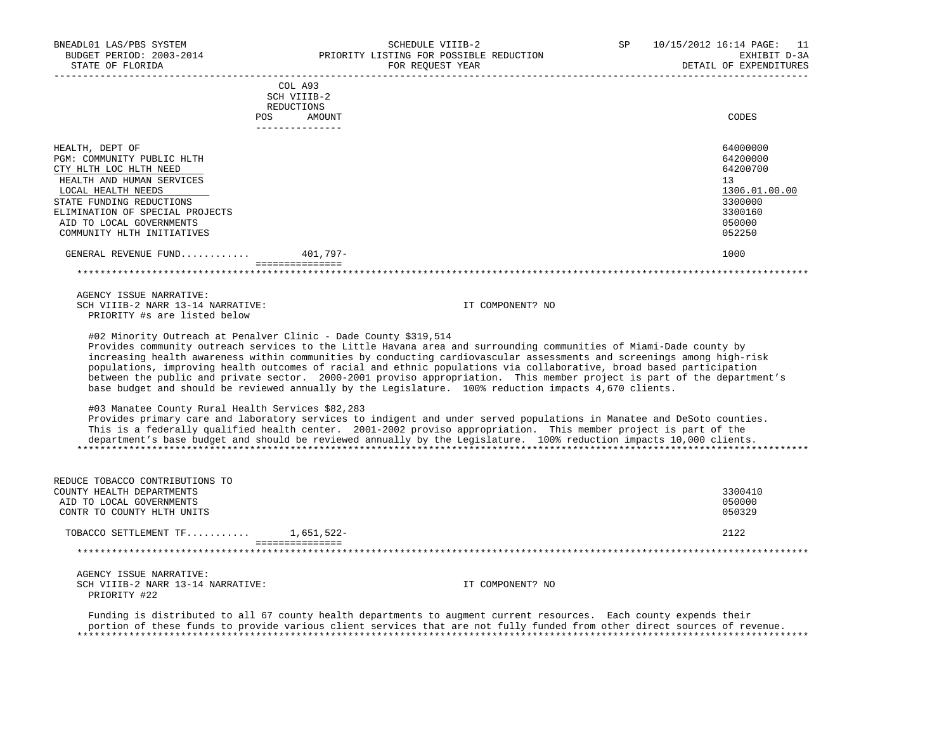BUDGET PERIOD: 2003-2014 PRIORITY LISTING FOR POSSIBLE REDUCTION EXHIBIT D-3A STATE OF FLORIDA GOVERNMENT CONSUMING THE STATE OF THE SEPARATE OF EXPENDITURES ----------------------------------------------------------------------------------------------------------------------------------- COL A93 SCH VIIIB-2 REDUCTIONS POS AMOUNT CODES --------------- HEALTH, DEPT OF 64000000 PGM: COMMUNITY PUBLIC HLTH 64200000<br>
PGM: COMMUNITY PUBLIC HLTH 64200700<br>
CTY HLTH LOC HLTH NEED CTY HLTH LOC HLTH NEED HEALTH AND HUMAN SERVICES 13 and the services of the service of the service of the services of the services of the services of the services of the services of the services of the services of the services of the service of  $\frac{\text{LOCAL} \text{ HEALTH} \text{ NEEDS}}{3300000}$  and  $\frac{1306.01}{3300000}$ STATE FUNDING REDUCTIONS 3300000<br>ELIMINATION OF SPECIAL PROJECTS ELIMINATION OF SPECIAL PROJECTS AID TO LOCAL GOVERNMENTS 050000 COMMUNITY HLTH INITIATIVES GENERAL REVENUE FUND............ 401,797- 1000 =============== \*\*\*\*\*\*\*\*\*\*\*\*\*\*\*\*\*\*\*\*\*\*\*\*\*\*\*\*\*\*\*\*\*\*\*\*\*\*\*\*\*\*\*\*\*\*\*\*\*\*\*\*\*\*\*\*\*\*\*\*\*\*\*\*\*\*\*\*\*\*\*\*\*\*\*\*\*\*\*\*\*\*\*\*\*\*\*\*\*\*\*\*\*\*\*\*\*\*\*\*\*\*\*\*\*\*\*\*\*\*\*\*\*\*\*\*\*\*\*\*\*\*\*\*\*\*\* AGENCY ISSUE NARRATIVE: SCH VIIIB-2 NARR 13-14 NARRATIVE: IT COMPONENT? NO PRIORITY #s are listed below #02 Minority Outreach at Penalver Clinic - Dade County \$319,514 Provides community outreach services to the Little Havana area and surrounding communities of Miami-Dade county by increasing health awareness within communities by conducting cardiovascular assessments and screenings among high-risk populations, improving health outcomes of racial and ethnic populations via collaborative, broad based participation between the public and private sector. 2000-2001 proviso appropriation. This member project is part of the department's base budget and should be reviewed annually by the Legislature. 100% reduction impacts 4,670 clients. #03 Manatee County Rural Health Services \$82,283 Provides primary care and laboratory services to indigent and under served populations in Manatee and DeSoto counties. This is a federally qualified health center. 2001-2002 proviso appropriation. This member project is part of the department's base budget and should be reviewed annually by the Legislature. 100% reduction impacts 10,000 clients. \*\*\*\*\*\*\*\*\*\*\*\*\*\*\*\*\*\*\*\*\*\*\*\*\*\*\*\*\*\*\*\*\*\*\*\*\*\*\*\*\*\*\*\*\*\*\*\*\*\*\*\*\*\*\*\*\*\*\*\*\*\*\*\*\*\*\*\*\*\*\*\*\*\*\*\*\*\*\*\*\*\*\*\*\*\*\*\*\*\*\*\*\*\*\*\*\*\*\*\*\*\*\*\*\*\*\*\*\*\*\*\*\*\*\*\*\*\*\*\*\*\*\*\*\*\*\* REDUCE TOBACCO CONTRIBUTIONS TO COUNTY HEALTH DEPARTMENTS 3300410 AID TO LOCAL GOVERNMENTS 650000 AND TO LOCAL GOVERNMENTS 650000 EXAMPLE TO LOCAL GOVERNMENTS 650000 AND TO LOCAL GOVERNMENTS CONTR TO COUNTY HLTH UNITS TOBACCO SETTLEMENT TF........... 1,651,522- 2122 =============== \*\*\*\*\*\*\*\*\*\*\*\*\*\*\*\*\*\*\*\*\*\*\*\*\*\*\*\*\*\*\*\*\*\*\*\*\*\*\*\*\*\*\*\*\*\*\*\*\*\*\*\*\*\*\*\*\*\*\*\*\*\*\*\*\*\*\*\*\*\*\*\*\*\*\*\*\*\*\*\*\*\*\*\*\*\*\*\*\*\*\*\*\*\*\*\*\*\*\*\*\*\*\*\*\*\*\*\*\*\*\*\*\*\*\*\*\*\*\*\*\*\*\*\*\*\*\* AGENCY ISSUE NARRATIVE: SCH VIIIB-2 NARR 13-14 NARRATIVE: IT COMPONENT? NO PRIORITY #22 Funding is distributed to all 67 county health departments to augment current resources. Each county expends their portion of these funds to provide various client services that are not fully funded from other direct sources of revenue.

\*\*\*\*\*\*\*\*\*\*\*\*\*\*\*\*\*\*\*\*\*\*\*\*\*\*\*\*\*\*\*\*\*\*\*\*\*\*\*\*\*\*\*\*\*\*\*\*\*\*\*\*\*\*\*\*\*\*\*\*\*\*\*\*\*\*\*\*\*\*\*\*\*\*\*\*\*\*\*\*\*\*\*\*\*\*\*\*\*\*\*\*\*\*\*\*\*\*\*\*\*\*\*\*\*\*\*\*\*\*\*\*\*\*\*\*\*\*\*\*\*\*\*\*\*\*\*

BNEADL01 LAS/PBS SYSTEM SCHEDULE VIIIB-2 SEHEDULE VIIIB-2 SP 10/15/2012 16:14 PAGE: 11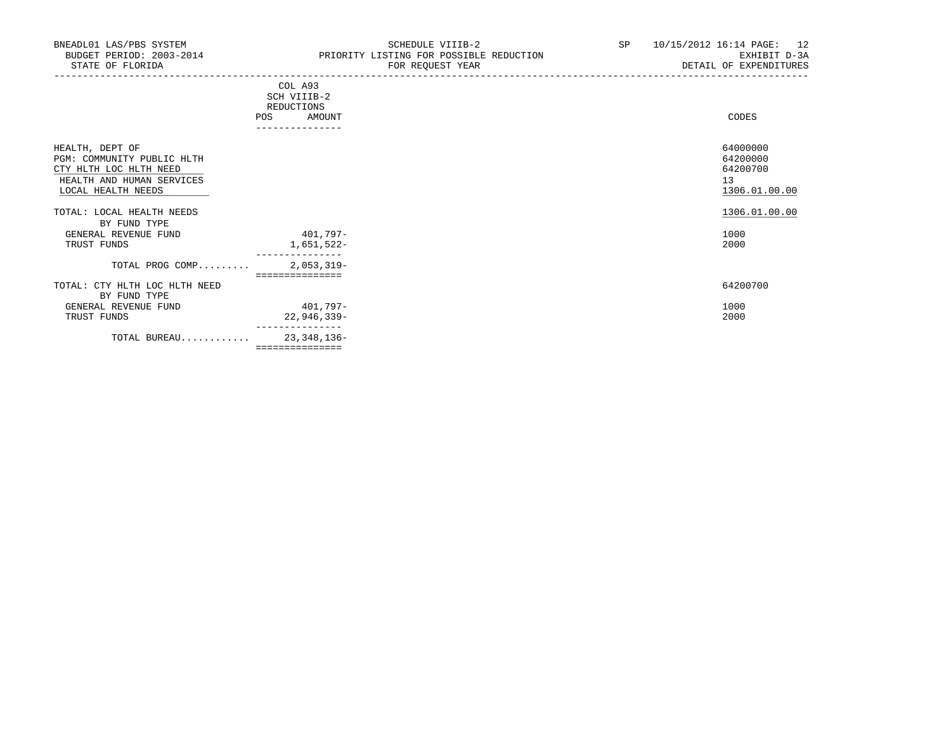| COL A93<br>SCH VIIIB-2<br>REDUCTIONS<br>AMOUNT<br>POS |                                                                                         | CODES                                                   |
|-------------------------------------------------------|-----------------------------------------------------------------------------------------|---------------------------------------------------------|
|                                                       |                                                                                         |                                                         |
|                                                       |                                                                                         | 64000000<br>64200000<br>64200700<br>13<br>1306.01.00.00 |
|                                                       |                                                                                         | 1306.01.00.00                                           |
|                                                       |                                                                                         |                                                         |
|                                                       |                                                                                         | 1000                                                    |
|                                                       |                                                                                         | 2000                                                    |
| TOTAL PROG COMP<br>$2,053,319-$                       |                                                                                         |                                                         |
|                                                       |                                                                                         | 64200700                                                |
|                                                       |                                                                                         | 1000                                                    |
|                                                       |                                                                                         | 2000                                                    |
|                                                       |                                                                                         |                                                         |
|                                                       |                                                                                         |                                                         |
| ===============                                       |                                                                                         |                                                         |
| TOTAL BUREAU                                          | 401,797-<br>1,651,522-<br>===============<br>401,797-<br>$22,946,339-$<br>23, 348, 136- |                                                         |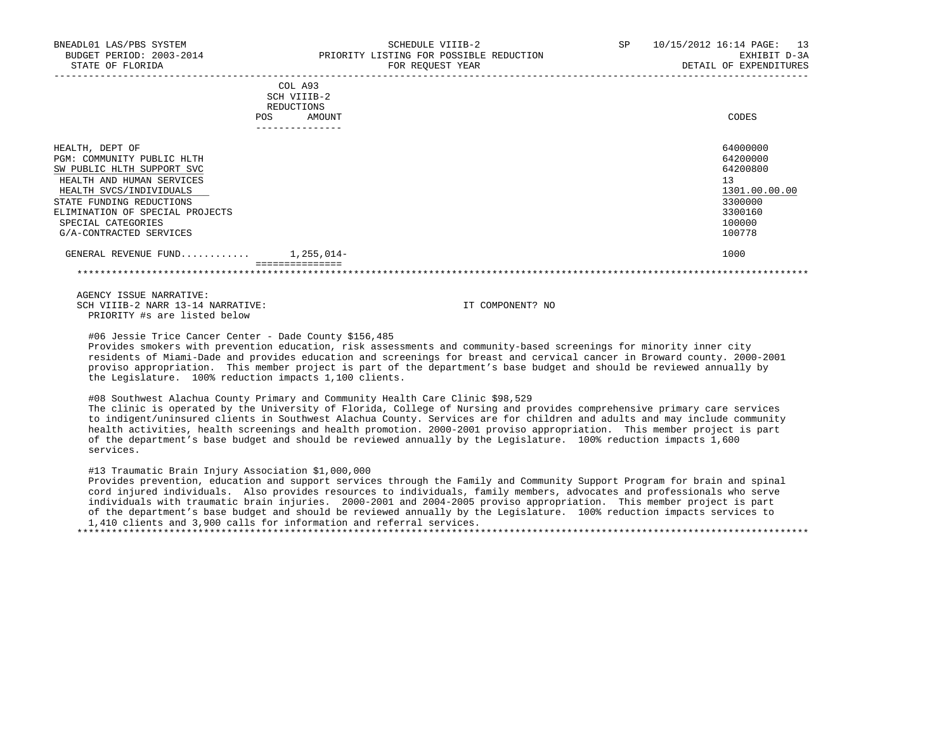----------------------------------------------------------------------------------------------------------------------------------- COL A93 SCH VIIIB-2 REDUCTIONS POS AMOUNT CODES ---------------

| HEALTH, DEPT OF                 |                             | 64000000      |
|---------------------------------|-----------------------------|---------------|
| PGM: COMMUNITY PUBLIC HLTH      |                             | 64200000      |
| SW PUBLIC HLTH SUPPORT SVC      |                             | 64200800      |
| HEALTH AND HUMAN SERVICES       |                             | 13            |
| HEALTH SVCS/INDIVIDUALS         |                             | 1301.00.00.00 |
| STATE FUNDING REDUCTIONS        |                             | 3300000       |
| ELIMINATION OF SPECIAL PROJECTS |                             | 3300160       |
| SPECIAL CATEGORIES              |                             | 100000        |
| G/A-CONTRACTED SERVICES         |                             | 100778        |
| GENERAL REVENUE FUND            | $1,255,014-$                | 1000          |
|                                 | . = = = = = = = = = = = = = |               |

 AGENCY ISSUE NARRATIVE: SCH VIIIB-2 NARR 13-14 NARRATIVE: IT COMPONENT? NO PRIORITY #s are listed below

#06 Jessie Trice Cancer Center - Dade County \$156,485

 Provides smokers with prevention education, risk assessments and community-based screenings for minority inner city residents of Miami-Dade and provides education and screenings for breast and cervical cancer in Broward county. 2000-2001 proviso appropriation. This member project is part of the department's base budget and should be reviewed annually by the Legislature. 100% reduction impacts 1,100 clients.

#08 Southwest Alachua County Primary and Community Health Care Clinic \$98,529

 The clinic is operated by the University of Florida, College of Nursing and provides comprehensive primary care services to indigent/uninsured clients in Southwest Alachua County. Services are for children and adults and may include community health activities, health screenings and health promotion. 2000-2001 proviso appropriation. This member project is part of the department's base budget and should be reviewed annually by the Legislature. 100% reduction impacts 1,600 services.

#13 Traumatic Brain Injury Association \$1,000,000

 Provides prevention, education and support services through the Family and Community Support Program for brain and spinal cord injured individuals. Also provides resources to individuals, family members, advocates and professionals who serve individuals with traumatic brain injuries. 2000-2001 and 2004-2005 proviso appropriation. This member project is part of the department's base budget and should be reviewed annually by the Legislature. 100% reduction impacts services to 1,410 clients and 3,900 calls for information and referral services.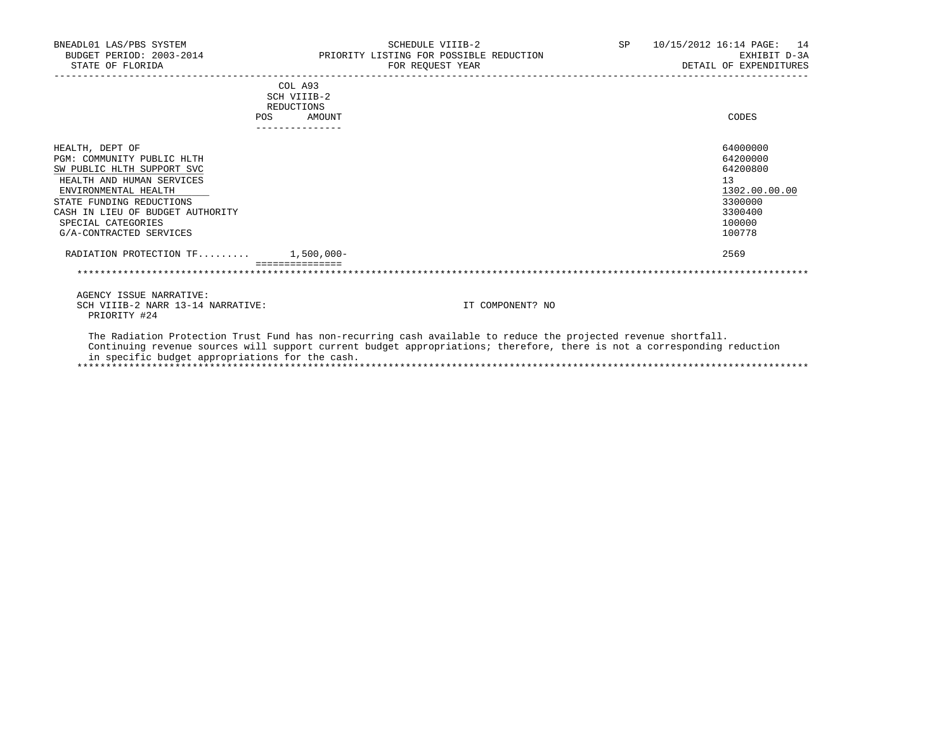| BNEADL01 LAS/PBS SYSTEM<br>STATE OF FLORIDA       | SCHEDULE VIIIB-2<br>BUDGET PERIOD: 2003-2014 TRIORITY LISTING FOR POSSIBLE REDUCTION<br>FOR REQUEST YEAR        | SP <sub>2</sub> | 10/15/2012 16:14 PAGE: 14<br>EXHIBIT D-3A<br>DETAIL OF EXPENDITURES |
|---------------------------------------------------|-----------------------------------------------------------------------------------------------------------------|-----------------|---------------------------------------------------------------------|
|                                                   | COL A93<br>SCH VIIIB-2                                                                                          |                 |                                                                     |
|                                                   | REDUCTIONS                                                                                                      |                 |                                                                     |
|                                                   | <b>POS</b><br>AMOUNT                                                                                            |                 | CODES                                                               |
| HEALTH, DEPT OF                                   |                                                                                                                 |                 | 64000000                                                            |
| PGM: COMMUNITY PUBLIC HLTH                        |                                                                                                                 |                 | 64200000                                                            |
| SW PUBLIC HLTH SUPPORT SVC                        |                                                                                                                 |                 | 64200800                                                            |
| HEALTH AND HUMAN SERVICES                         |                                                                                                                 |                 | 13                                                                  |
| ENVIRONMENTAL HEALTH                              |                                                                                                                 |                 | 1302.00.00.00                                                       |
| STATE FUNDING REDUCTIONS                          |                                                                                                                 |                 | 3300000                                                             |
| CASH IN LIEU OF BUDGET AUTHORITY                  |                                                                                                                 |                 | 3300400                                                             |
| SPECIAL CATEGORIES                                |                                                                                                                 |                 | 100000                                                              |
| G/A-CONTRACTED SERVICES                           |                                                                                                                 |                 | 100778                                                              |
| RADIATION PROTECTION $TF$ 1,500,000-              |                                                                                                                 |                 | 2569                                                                |
|                                                   |                                                                                                                 |                 |                                                                     |
| AGENCY ISSUE NARRATIVE:                           |                                                                                                                 |                 |                                                                     |
| SCH VIIIB-2 NARR 13-14 NARRATIVE:<br>PRIORITY #24 | IT COMPONENT? NO                                                                                                |                 |                                                                     |
|                                                   | The Radiation Protection Trust Fund has non-recurring cash available to reduce the projected revenue shortfall. |                 |                                                                     |

 Continuing revenue sources will support current budget appropriations; therefore, there is not a corresponding reduction in specific budget appropriations for the cash. \*\*\*\*\*\*\*\*\*\*\*\*\*\*\*\*\*\*\*\*\*\*\*\*\*\*\*\*\*\*\*\*\*\*\*\*\*\*\*\*\*\*\*\*\*\*\*\*\*\*\*\*\*\*\*\*\*\*\*\*\*\*\*\*\*\*\*\*\*\*\*\*\*\*\*\*\*\*\*\*\*\*\*\*\*\*\*\*\*\*\*\*\*\*\*\*\*\*\*\*\*\*\*\*\*\*\*\*\*\*\*\*\*\*\*\*\*\*\*\*\*\*\*\*\*\*\*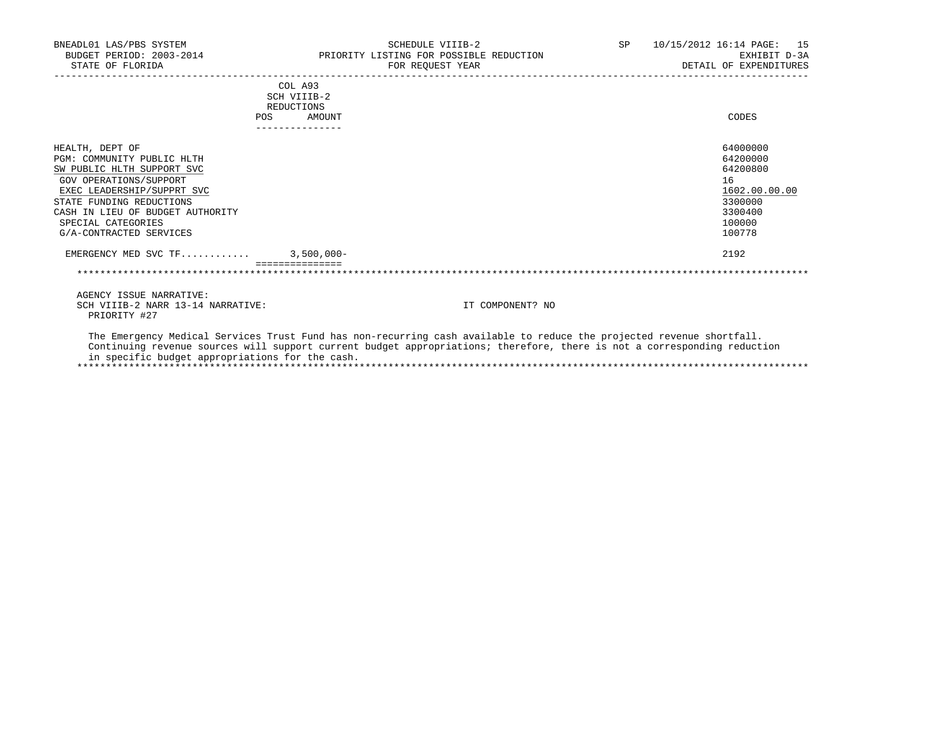| BNEADL01 LAS/PBS SYSTEM<br>BUDGET PERIOD: 2003-2014<br>STATE OF FLORIDA                                                                                                                                                                              |                                                       | SCHEDULE VIIIB-2<br>PRIORITY LISTING FOR POSSIBLE REDUCTION<br>FOR REQUEST YEAR | SP 10/15/2012 16:14 PAGE: 15<br>EXHIBIT D-3A<br>DETAIL OF EXPENDITURES                            |
|------------------------------------------------------------------------------------------------------------------------------------------------------------------------------------------------------------------------------------------------------|-------------------------------------------------------|---------------------------------------------------------------------------------|---------------------------------------------------------------------------------------------------|
|                                                                                                                                                                                                                                                      | COL A93<br>SCH VIIIB-2<br>REDUCTIONS<br>POS<br>AMOUNT |                                                                                 | CODES                                                                                             |
| HEALTH, DEPT OF<br>PGM: COMMUNITY PUBLIC HLTH<br>SW PUBLIC HLTH SUPPORT SVC<br>GOV OPERATIONS/SUPPORT<br>EXEC LEADERSHIP/SUPPRT SVC<br>STATE FUNDING REDUCTIONS<br>CASH IN LIEU OF BUDGET AUTHORITY<br>SPECIAL CATEGORIES<br>G/A-CONTRACTED SERVICES |                                                       |                                                                                 | 64000000<br>64200000<br>64200800<br>16<br>1602.00.00.00<br>3300000<br>3300400<br>100000<br>100778 |
| EMERGENCY MED SVC TF 3,500,000-                                                                                                                                                                                                                      |                                                       |                                                                                 | 2192                                                                                              |
|                                                                                                                                                                                                                                                      |                                                       |                                                                                 |                                                                                                   |
| AGENCY ISSUE NARRATIVE:<br>SCH VIIIB-2 NARR 13-14 NARRATIVE:                                                                                                                                                                                         |                                                       | IT COMPONENT? NO                                                                |                                                                                                   |

PRIORITY #27

 The Emergency Medical Services Trust Fund has non-recurring cash available to reduce the projected revenue shortfall. Continuing revenue sources will support current budget appropriations; therefore, there is not a corresponding reduction in specific budget appropriations for the cash. \*\*\*\*\*\*\*\*\*\*\*\*\*\*\*\*\*\*\*\*\*\*\*\*\*\*\*\*\*\*\*\*\*\*\*\*\*\*\*\*\*\*\*\*\*\*\*\*\*\*\*\*\*\*\*\*\*\*\*\*\*\*\*\*\*\*\*\*\*\*\*\*\*\*\*\*\*\*\*\*\*\*\*\*\*\*\*\*\*\*\*\*\*\*\*\*\*\*\*\*\*\*\*\*\*\*\*\*\*\*\*\*\*\*\*\*\*\*\*\*\*\*\*\*\*\*\*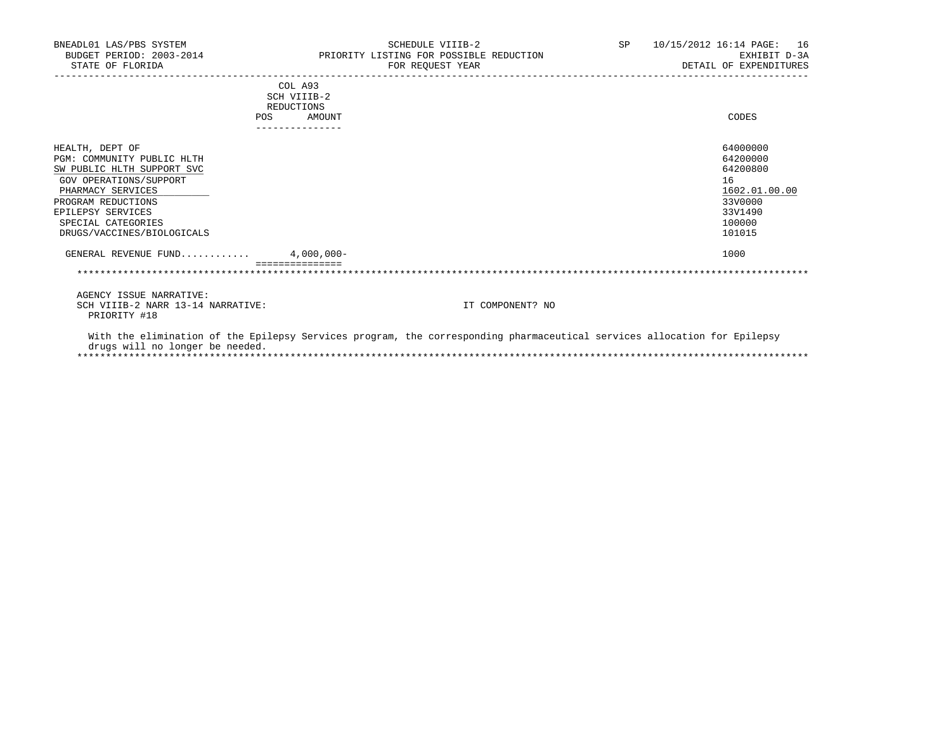| BNEADL01 LAS/PBS SYSTEM<br>BUDGET PERIOD: 2003-2014<br>STATE OF FLORIDA |                      | SCHEDULE VIIIB-2<br>PRIORITY LISTING FOR POSSIBLE REDUCTION<br>FOR REQUEST YEAR                                          | SP | 10/15/2012 16:14 PAGE: | 16<br>EXHIBIT D-3A<br>DETAIL OF EXPENDITURES |
|-------------------------------------------------------------------------|----------------------|--------------------------------------------------------------------------------------------------------------------------|----|------------------------|----------------------------------------------|
|                                                                         | COL A93              |                                                                                                                          |    |                        |                                              |
|                                                                         | SCH VIIIB-2          |                                                                                                                          |    |                        |                                              |
| POS                                                                     | REDUCTIONS<br>AMOUNT |                                                                                                                          |    |                        | CODES                                        |
|                                                                         | ---------------      |                                                                                                                          |    |                        |                                              |
| HEALTH, DEPT OF                                                         |                      |                                                                                                                          |    |                        | 64000000                                     |
| PGM: COMMUNITY PUBLIC HLTH                                              |                      |                                                                                                                          |    |                        | 64200000                                     |
| SW PUBLIC HLTH SUPPORT SVC                                              |                      |                                                                                                                          |    |                        | 64200800                                     |
| GOV OPERATIONS/SUPPORT                                                  |                      |                                                                                                                          |    |                        | 16                                           |
| PHARMACY SERVICES                                                       |                      |                                                                                                                          |    |                        | 1602.01.00.00                                |
| PROGRAM REDUCTIONS                                                      |                      |                                                                                                                          |    |                        | 33V0000                                      |
| EPILEPSY SERVICES                                                       |                      |                                                                                                                          |    |                        | 33V1490                                      |
| SPECIAL CATEGORIES                                                      |                      |                                                                                                                          |    |                        | 100000                                       |
| DRUGS/VACCINES/BIOLOGICALS                                              |                      |                                                                                                                          |    |                        | 101015                                       |
| GENERAL REVENUE FUND $4.000.000 -$                                      |                      |                                                                                                                          |    |                        | 1000                                         |
|                                                                         |                      |                                                                                                                          |    |                        |                                              |
| AGENCY ISSUE NARRATIVE:                                                 |                      |                                                                                                                          |    |                        |                                              |
| SCH VIIIB-2 NARR 13-14 NARRATIVE:<br>PRIORITY #18                       |                      | IT COMPONENT? NO                                                                                                         |    |                        |                                              |
| drugs will no longer be needed.                                         |                      | With the elimination of the Epilepsy Services program, the corresponding pharmaceutical services allocation for Epilepsy |    |                        |                                              |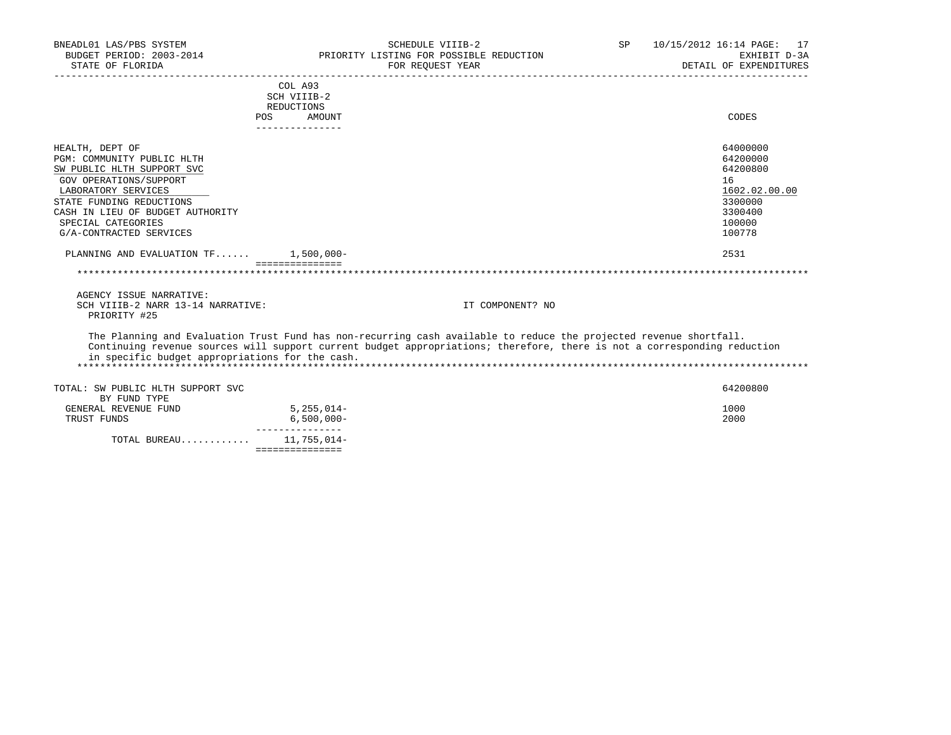| BNEADL01 LAS/PBS SYSTEM<br>BUDGET PERIOD: 2003-2014 |                                                                                                                          | SCHEDULE VIIIB-2<br>PRIORITY LISTING FOR POSSIBLE REDUCTION | SP | 10/15/2012 16:14 PAGE: 17<br>EXHIBIT D-3A |  |
|-----------------------------------------------------|--------------------------------------------------------------------------------------------------------------------------|-------------------------------------------------------------|----|-------------------------------------------|--|
| STATE OF FLORIDA                                    |                                                                                                                          | FOR REOUEST YEAR                                            |    | DETAIL OF EXPENDITURES                    |  |
|                                                     | COL A93                                                                                                                  |                                                             |    |                                           |  |
|                                                     | SCH VIIIB-2                                                                                                              |                                                             |    |                                           |  |
|                                                     | REDUCTIONS                                                                                                               |                                                             |    |                                           |  |
|                                                     | POS<br>AMOUNT<br>_______________                                                                                         |                                                             |    | CODES                                     |  |
| HEALTH, DEPT OF                                     |                                                                                                                          |                                                             |    | 64000000                                  |  |
| PGM: COMMUNITY PUBLIC HLTH                          |                                                                                                                          |                                                             |    | 64200000                                  |  |
| SW PUBLIC HLTH SUPPORT SVC                          |                                                                                                                          |                                                             |    | 64200800                                  |  |
| GOV OPERATIONS/SUPPORT                              |                                                                                                                          |                                                             |    | 16                                        |  |
| LABORATORY SERVICES                                 |                                                                                                                          |                                                             |    | 1602.02.00.00                             |  |
| STATE FUNDING REDUCTIONS                            |                                                                                                                          |                                                             |    | 3300000                                   |  |
| CASH IN LIEU OF BUDGET AUTHORITY                    |                                                                                                                          |                                                             |    | 3300400                                   |  |
| SPECIAL CATEGORIES                                  |                                                                                                                          |                                                             |    | 100000                                    |  |
| G/A-CONTRACTED SERVICES                             |                                                                                                                          |                                                             |    | 100778                                    |  |
|                                                     |                                                                                                                          |                                                             |    |                                           |  |
| PLANNING AND EVALUATION TF 1,500,000-               |                                                                                                                          |                                                             |    | 2531                                      |  |
|                                                     | _________________                                                                                                        |                                                             |    |                                           |  |
| AGENCY ISSUE NARRATIVE:                             |                                                                                                                          |                                                             |    |                                           |  |
| SCH VIIIB-2 NARR 13-14 NARRATIVE:<br>PRIORITY #25   |                                                                                                                          | IT COMPONENT? NO                                            |    |                                           |  |
|                                                     | The Planning and Evaluation Trust Fund has non-recurring cash available to reduce the projected revenue shortfall.       |                                                             |    |                                           |  |
| in specific budget appropriations for the cash.     | Continuing revenue sources will support current budget appropriations; therefore, there is not a corresponding reduction |                                                             |    |                                           |  |
|                                                     |                                                                                                                          |                                                             |    |                                           |  |
| TOTAL: SW PUBLIC HLTH SUPPORT SVC<br>BY FUND TYPE   |                                                                                                                          |                                                             |    | 64200800                                  |  |
| GENERAL REVENUE FUND                                | $5, 255, 014 -$                                                                                                          |                                                             |    | 1000                                      |  |
| TRUST FUNDS                                         | $6,500,000 -$                                                                                                            |                                                             |    | 2000                                      |  |
|                                                     | ---------------                                                                                                          |                                                             |    |                                           |  |
| TOTAL BUREAU 11,755,014-                            |                                                                                                                          |                                                             |    |                                           |  |
|                                                     | ===============                                                                                                          |                                                             |    |                                           |  |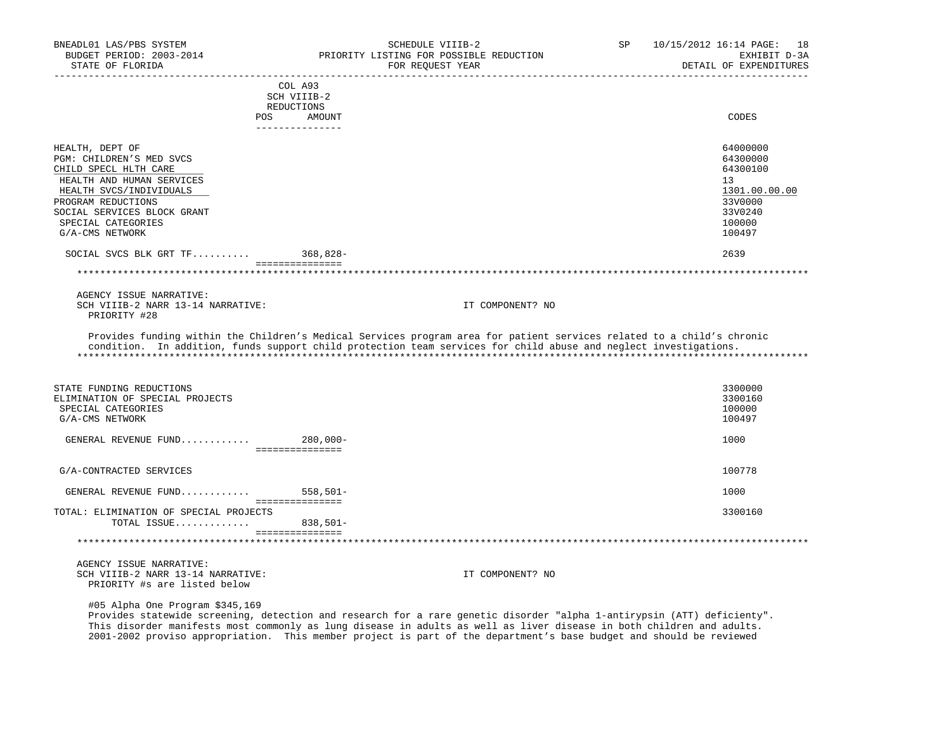| BNEADL01 LAS/PBS SYSTEM<br>BUDGET PERIOD: 2003-2014<br>STATE OF FLORIDA                                                                                                                                                                                         | SCHEDULE VIIIB-2<br>PRIORITY LISTING FOR POSSIBLE REDUCTION<br>FOR REQUEST YEAR                                                                                                                                                            | SP | 10/15/2012 16:14 PAGE: 18<br>EXHIBIT D-3A<br>DETAIL OF EXPENDITURES                                       |
|-----------------------------------------------------------------------------------------------------------------------------------------------------------------------------------------------------------------------------------------------------------------|--------------------------------------------------------------------------------------------------------------------------------------------------------------------------------------------------------------------------------------------|----|-----------------------------------------------------------------------------------------------------------|
| <b>POS</b>                                                                                                                                                                                                                                                      | COL A93<br>SCH VIIIB-2<br>REDUCTIONS<br>AMOUNT<br>---------------                                                                                                                                                                          |    | CODES                                                                                                     |
| HEALTH, DEPT OF<br>PGM: CHILDREN'S MED SVCS<br>CHILD SPECL HLTH CARE<br>HEALTH AND HUMAN SERVICES<br>HEALTH SVCS/INDIVIDUALS<br>PROGRAM REDUCTIONS<br>SOCIAL SERVICES BLOCK GRANT<br>SPECIAL CATEGORIES<br>G/A-CMS NETWORK<br>SOCIAL SVCS BLK GRT $TF$ 368,828- | ===============                                                                                                                                                                                                                            |    | 64000000<br>64300000<br>64300100<br>13<br>1301.00.00.00<br>33V0000<br>33V0240<br>100000<br>100497<br>2639 |
| AGENCY ISSUE NARRATIVE:<br>SCH VIIIB-2 NARR 13-14 NARRATIVE:<br>PRIORITY #28                                                                                                                                                                                    | IT COMPONENT? NO                                                                                                                                                                                                                           |    |                                                                                                           |
|                                                                                                                                                                                                                                                                 | Provides funding within the Children's Medical Services program area for patient services related to a child's chronic<br>condition. In addition, funds support child protection team services for child abuse and neglect investigations. |    |                                                                                                           |
| STATE FUNDING REDUCTIONS<br>ELIMINATION OF SPECIAL PROJECTS<br>SPECIAL CATEGORIES<br>G/A-CMS NETWORK<br>GENERAL REVENUE FUND 280,000-                                                                                                                           | ----------------                                                                                                                                                                                                                           |    | 3300000<br>3300160<br>100000<br>100497<br>1000                                                            |
| G/A-CONTRACTED SERVICES                                                                                                                                                                                                                                         |                                                                                                                                                                                                                                            |    | 100778                                                                                                    |
| GENERAL REVENUE FUND                                                                                                                                                                                                                                            | $558,501-$                                                                                                                                                                                                                                 |    | 1000                                                                                                      |
| TOTAL: ELIMINATION OF SPECIAL PROJECTS<br>TOTAL ISSUE                                                                                                                                                                                                           | ===============<br>838,501-<br>================                                                                                                                                                                                            |    | 3300160                                                                                                   |
|                                                                                                                                                                                                                                                                 |                                                                                                                                                                                                                                            |    |                                                                                                           |
| AGENCY ISSUE NARRATIVE:<br>SCH VIIIB-2 NARR 13-14 NARRATIVE:<br>PRIORITY #s are listed below                                                                                                                                                                    | IT COMPONENT? NO                                                                                                                                                                                                                           |    |                                                                                                           |

#05 Alpha One Program \$345,169

 Provides statewide screening, detection and research for a rare genetic disorder "alpha 1-antirypsin (ATT) deficienty". This disorder manifests most commonly as lung disease in adults as well as liver disease in both children and adults. 2001-2002 proviso appropriation. This member project is part of the department's base budget and should be reviewed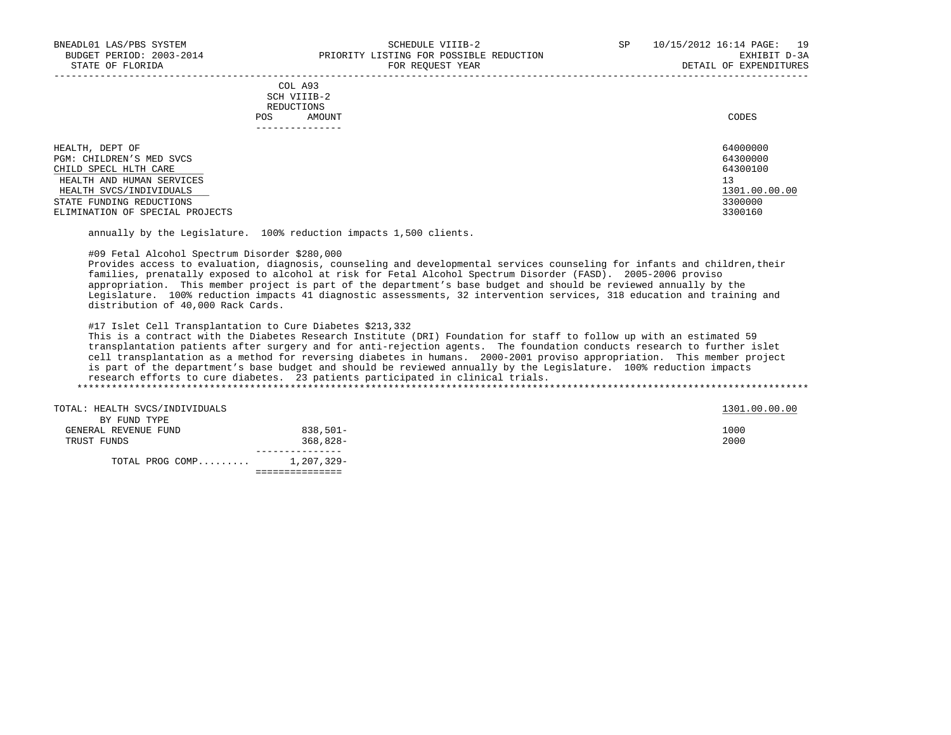|                          | COL A93<br>SCH VIIIB-2 |           |
|--------------------------|------------------------|-----------|
|                          | REDUCTIONS             |           |
|                          | AMOUNT<br>POS          | CODES     |
|                          |                        |           |
| HEALTH, DEPT OF          |                        | 64000000  |
| PGM: CHILDREN'S MED SVCS |                        | 64300000  |
| $\alpha$                 |                        | 5.1200100 |

CHILD SPECL HLTH CARE 64300100 HEALTH AND HUMAN SERVICES 1301.00.00.00 PHEALTH AND HUMAN SERVICES 1301.00.00.00 PHEALTH SVCS/INDIVIDUALS HEALTH SVCS/INDIVIDUALS 1301.00.00.00 \_\_\_\_\_\_\_\_\_\_\_\_\_\_\_\_\_\_\_\_\_\_\_\_\_\_ \_\_\_\_\_\_\_\_\_\_\_\_\_ STATE FUNDING REDUCTIONS 3300000<br>ELIMINATION OF SPECIAL PROJECTS ELIMINATION OF SPECIAL PROJECTS

annually by the Legislature. 100% reduction impacts 1,500 clients.

## #09 Fetal Alcohol Spectrum Disorder \$280,000

 Provides access to evaluation, diagnosis, counseling and developmental services counseling for infants and children,their families, prenatally exposed to alcohol at risk for Fetal Alcohol Spectrum Disorder (FASD). 2005-2006 proviso appropriation. This member project is part of the department's base budget and should be reviewed annually by the Legislature. 100% reduction impacts 41 diagnostic assessments, 32 intervention services, 318 education and training and distribution of 40,000 Rack Cards.

#17 Islet Cell Transplantation to Cure Diabetes \$213,332

 This is a contract with the Diabetes Research Institute (DRI) Foundation for staff to follow up with an estimated 59 transplantation patients after surgery and for anti-rejection agents. The foundation conducts research to further islet cell transplantation as a method for reversing diabetes in humans. 2000-2001 proviso appropriation. This member project is part of the department's base budget and should be reviewed annually by the Legislature. 100% reduction impacts research efforts to cure diabetes. 23 patients participated in clinical trials. \*\*\*\*\*\*\*\*\*\*\*\*\*\*\*\*\*\*\*\*\*\*\*\*\*\*\*\*\*\*\*\*\*\*\*\*\*\*\*\*\*\*\*\*\*\*\*\*\*\*\*\*\*\*\*\*\*\*\*\*\*\*\*\*\*\*\*\*\*\*\*\*\*\*\*\*\*\*\*\*\*\*\*\*\*\*\*\*\*\*\*\*\*\*\*\*\*\*\*\*\*\*\*\*\*\*\*\*\*\*\*\*\*\*\*\*\*\*\*\*\*\*\*\*\*\*\*

| TOTAL: HEALTH SVCS/INDIVIDUALS       |            | 1301.00.00.00 |
|--------------------------------------|------------|---------------|
| BY FUND TYPE<br>GENERAL REVENUE FUND | 838,501-   | 1000          |
| TRUST FUNDS                          | $368,828-$ | 2000          |
|                                      |            |               |
| TOTAL PROG COMP 1,207,329-           |            |               |
|                                      |            |               |